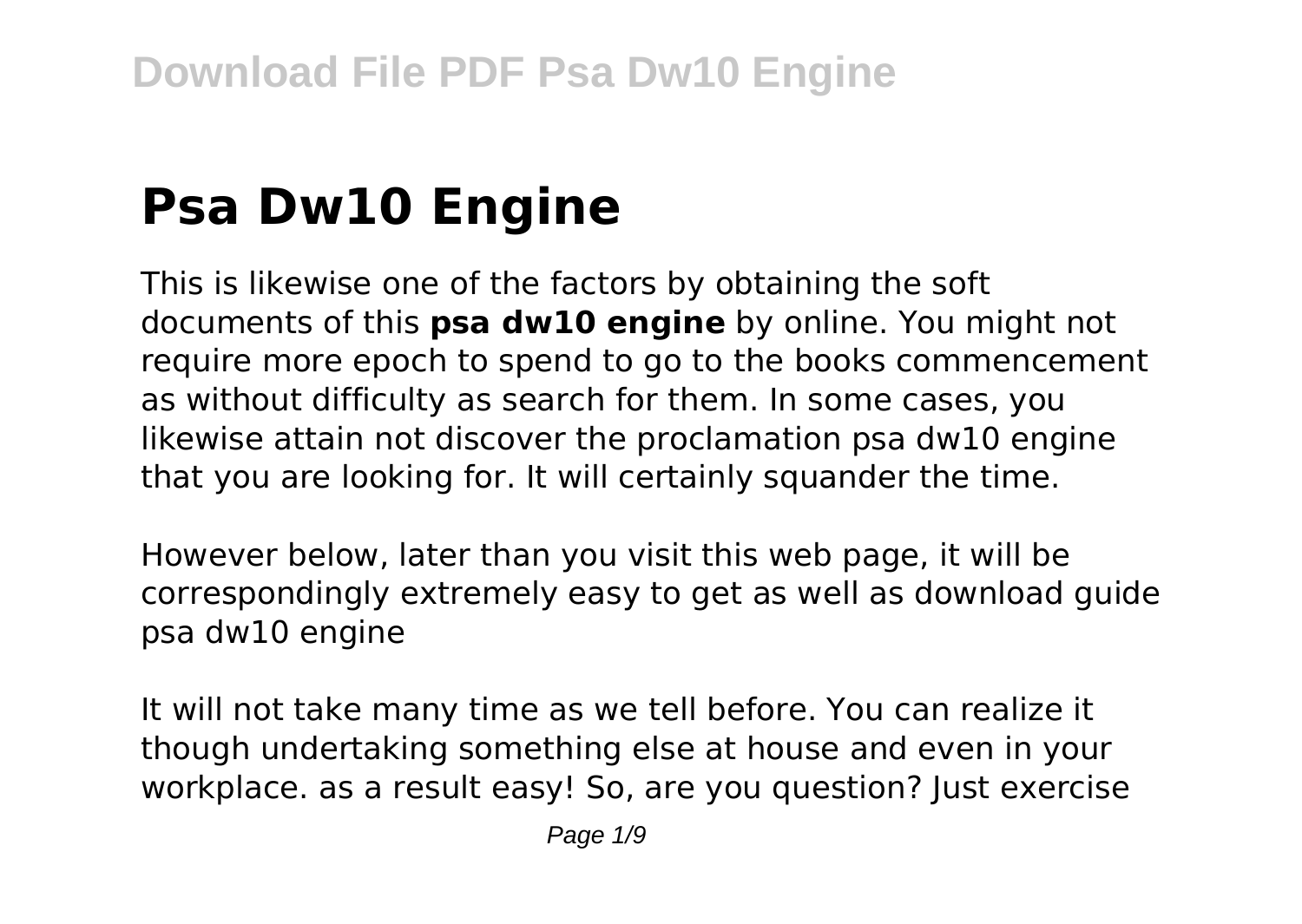# **Psa Dw10 Engine**

This is likewise one of the factors by obtaining the soft documents of this **psa dw10 engine** by online. You might not require more epoch to spend to go to the books commencement as without difficulty as search for them. In some cases, you likewise attain not discover the proclamation psa dw10 engine that you are looking for. It will certainly squander the time.

However below, later than you visit this web page, it will be correspondingly extremely easy to get as well as download guide psa dw10 engine

It will not take many time as we tell before. You can realize it though undertaking something else at house and even in your workplace. as a result easy! So, are you question? Just exercise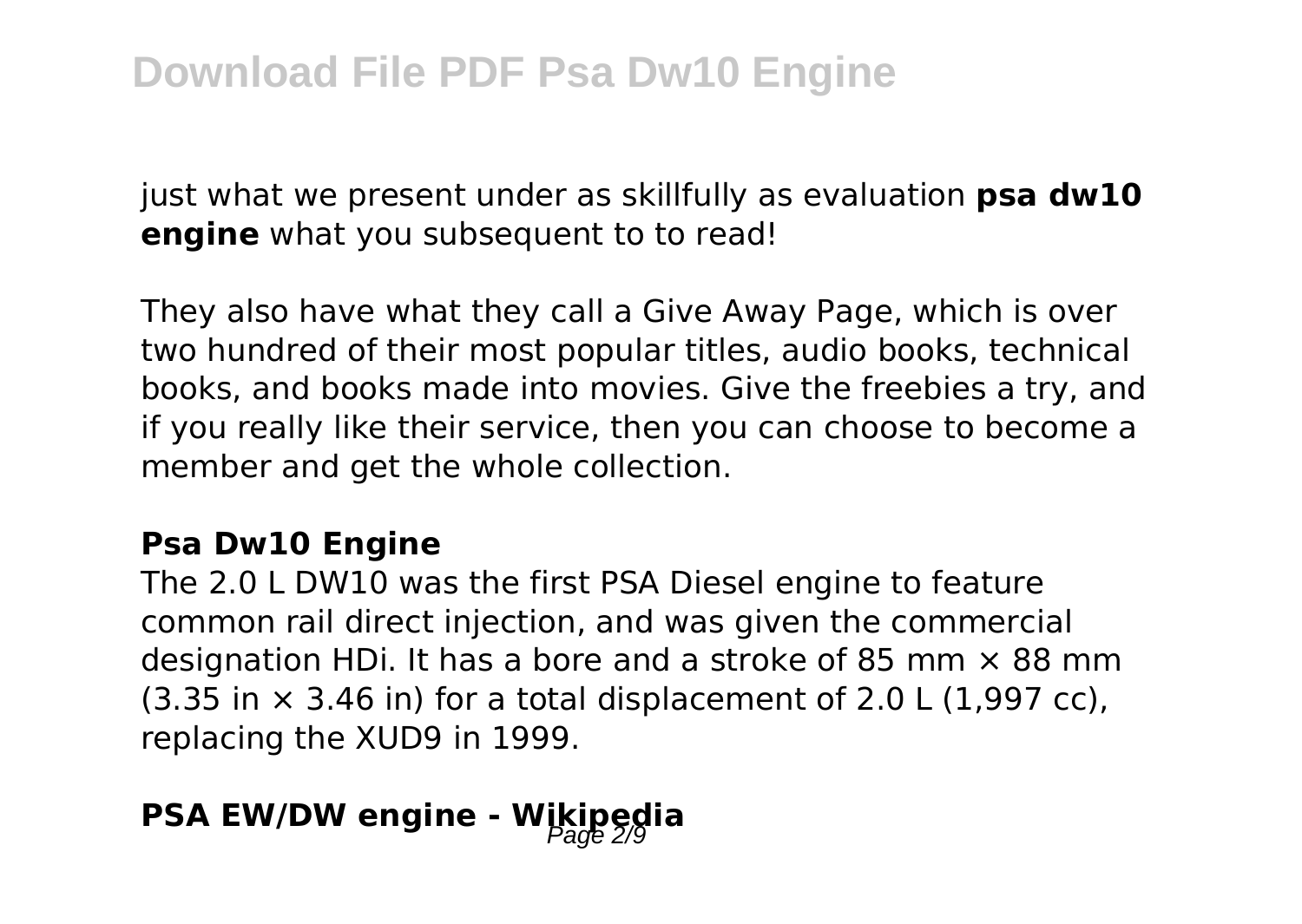just what we present under as skillfully as evaluation **psa dw10 engine** what you subsequent to to read!

They also have what they call a Give Away Page, which is over two hundred of their most popular titles, audio books, technical books, and books made into movies. Give the freebies a try, and if you really like their service, then you can choose to become a member and get the whole collection.

#### **Psa Dw10 Engine**

The 2.0 L DW10 was the first PSA Diesel engine to feature common rail direct injection, and was given the commercial designation HDi. It has a bore and a stroke of 85 mm  $\times$  88 mm  $(3.35$  in  $\times$  3.46 in) for a total displacement of 2.0 L (1,997 cc), replacing the XUD9 in 1999.

## **PSA EW/DW engine - Wikipedia**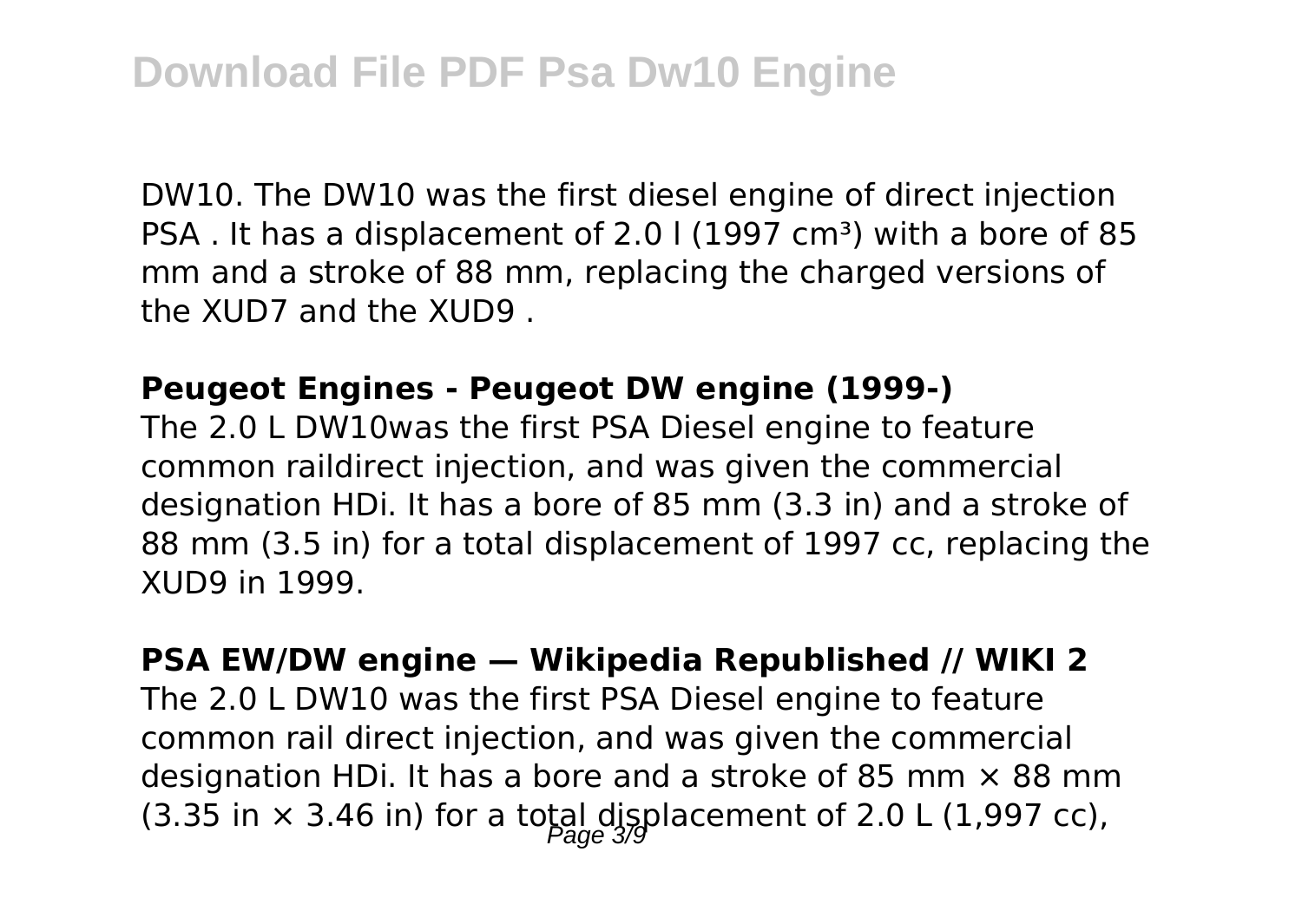DW10. The DW10 was the first diesel engine of direct injection PSA. It has a displacement of 2.0 l (1997 cm<sup>3</sup>) with a bore of 85 mm and a stroke of 88 mm, replacing the charged versions of the XUD7 and the XUD9 .

#### **Peugeot Engines - Peugeot DW engine (1999-)**

The 2.0 L DW10was the first PSA Diesel engine to feature common raildirect injection, and was given the commercial designation HDi. It has a bore of 85 mm (3.3 in) and a stroke of 88 mm (3.5 in) for a total displacement of 1997 cc, replacing the XUD9 in 1999.

**PSA EW/DW engine — Wikipedia Republished // WIKI 2** The 2.0 L DW10 was the first PSA Diesel engine to feature common rail direct injection, and was given the commercial designation HDi. It has a bore and a stroke of 85 mm  $\times$  88 mm (3.35 in  $\times$  3.46 in) for a total displacement of 2.0 L (1,997 cc),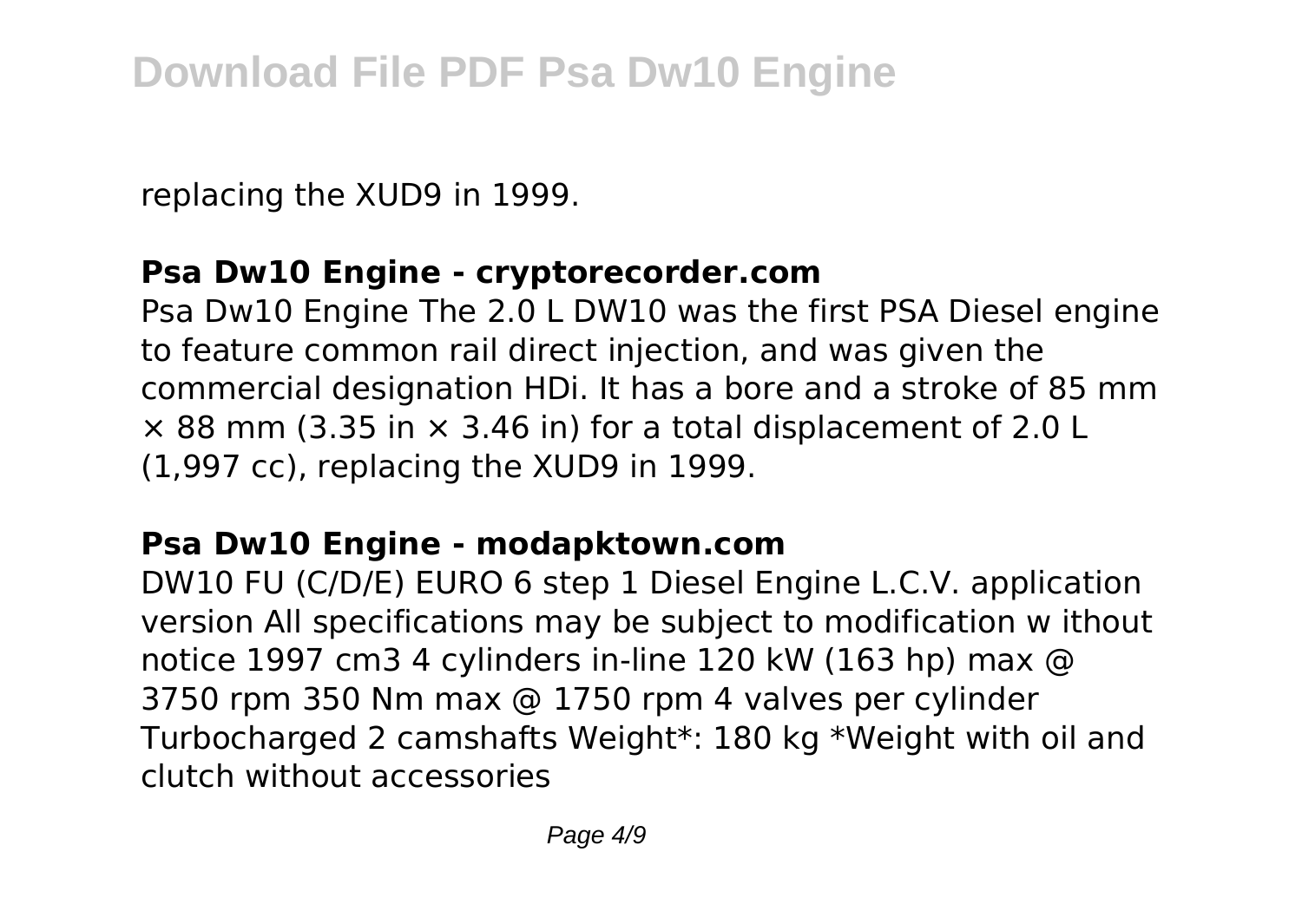replacing the XUD9 in 1999.

#### **Psa Dw10 Engine - cryptorecorder.com**

Psa Dw10 Engine The 2.0 L DW10 was the first PSA Diesel engine to feature common rail direct injection, and was given the commercial designation HDi. It has a bore and a stroke of 85 mm  $\times$  88 mm (3.35 in  $\times$  3.46 in) for a total displacement of 2.0 L (1,997 cc), replacing the XUD9 in 1999.

#### **Psa Dw10 Engine - modapktown.com**

DW10 FU (C/D/E) EURO 6 step 1 Diesel Engine L.C.V. application version All specifications may be subject to modification w ithout notice 1997 cm3 4 cylinders in-line 120 kW (163 hp) max @ 3750 rpm 350 Nm max @ 1750 rpm 4 valves per cylinder Turbocharged 2 camshafts Weight\*: 180 kg \*Weight with oil and clutch without accessories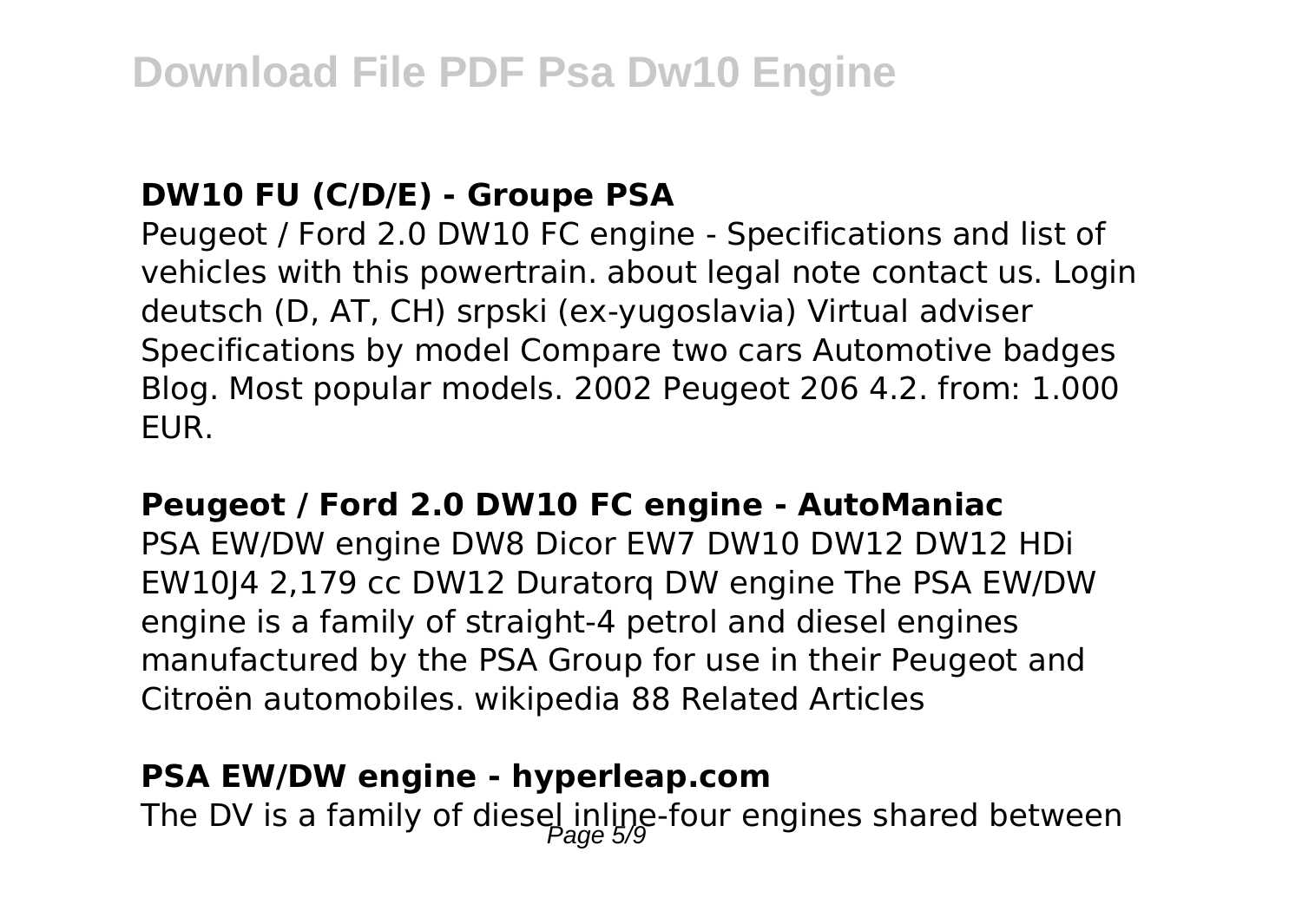#### **DW10 FU (C/D/E) - Groupe PSA**

Peugeot / Ford 2.0 DW10 FC engine - Specifications and list of vehicles with this powertrain. about legal note contact us. Login deutsch (D, AT, CH) srpski (ex-yugoslavia) Virtual adviser Specifications by model Compare two cars Automotive badges Blog. Most popular models. 2002 Peugeot 206 4.2. from: 1.000 EUR.

#### **Peugeot / Ford 2.0 DW10 FC engine - AutoManiac**

PSA EW/DW engine DW8 Dicor EW7 DW10 DW12 DW12 HDi EW10J4 2,179 cc DW12 Duratorq DW engine The PSA EW/DW engine is a family of straight-4 petrol and diesel engines manufactured by the PSA Group for use in their Peugeot and Citroën automobiles. wikipedia 88 Related Articles

#### **PSA EW/DW engine - hyperleap.com**

The DV is a family of diesel inline-four engines shared between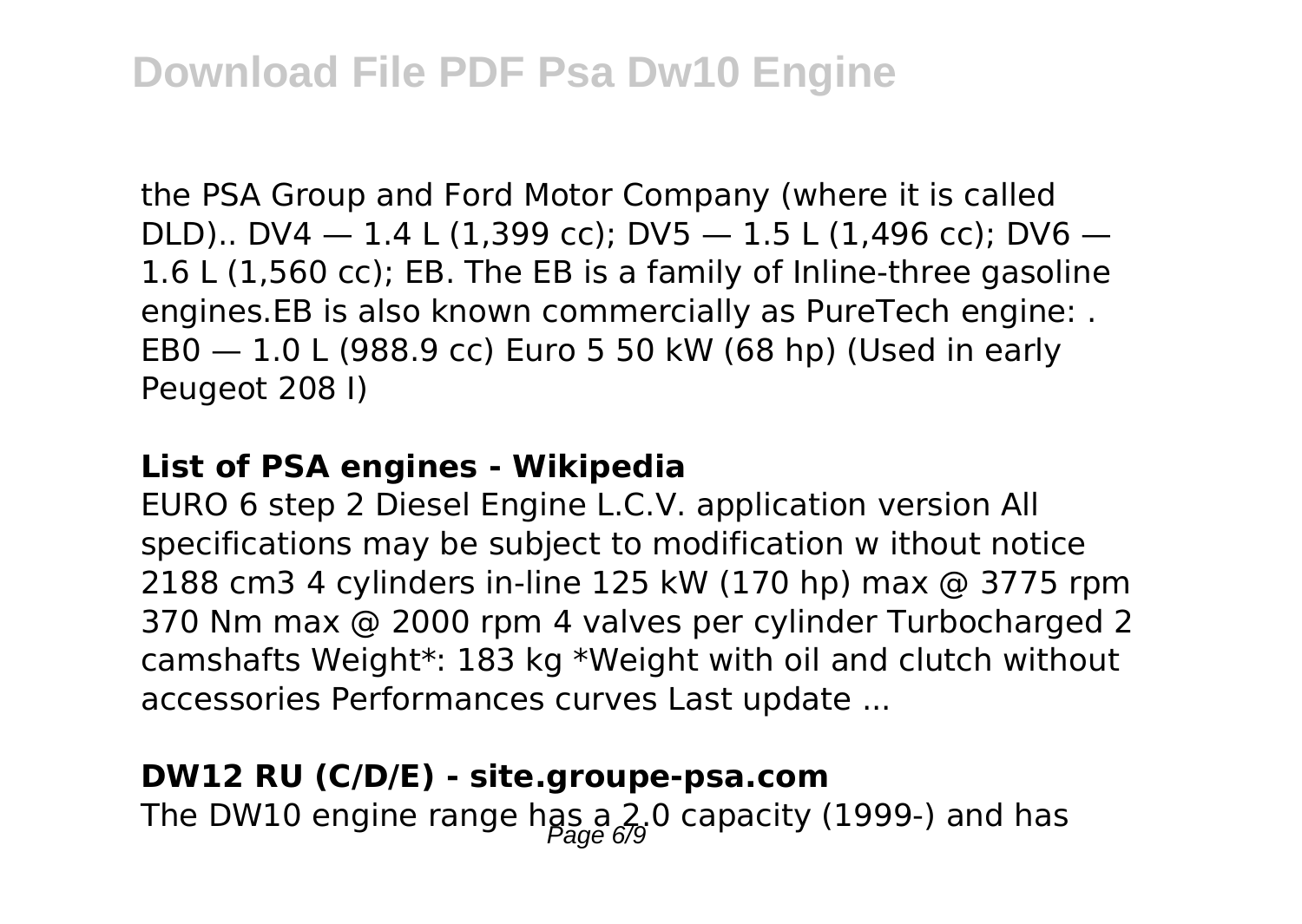the PSA Group and Ford Motor Company (where it is called DLD).. DV4  $-$  1.4 L (1,399 cc); DV5  $-$  1.5 L (1,496 cc); DV6  $-$ 1.6 L (1,560 cc); EB. The EB is a family of Inline-three gasoline engines.EB is also known commercially as PureTech engine: . EB0 — 1.0 L (988.9 cc) Euro 5 50 kW (68 hp) (Used in early Peugeot 208 I)

#### **List of PSA engines - Wikipedia**

EURO 6 step 2 Diesel Engine L.C.V. application version All specifications may be subject to modification w ithout notice 2188 cm3 4 cylinders in-line 125 kW (170 hp) max @ 3775 rpm 370 Nm max @ 2000 rpm 4 valves per cylinder Turbocharged 2 camshafts Weight\*: 183 kg \*Weight with oil and clutch without accessories Performances curves Last update ...

#### **DW12 RU (C/D/E) - site.groupe-psa.com**

The DW10 engine range has a 2.0 capacity (1999-) and has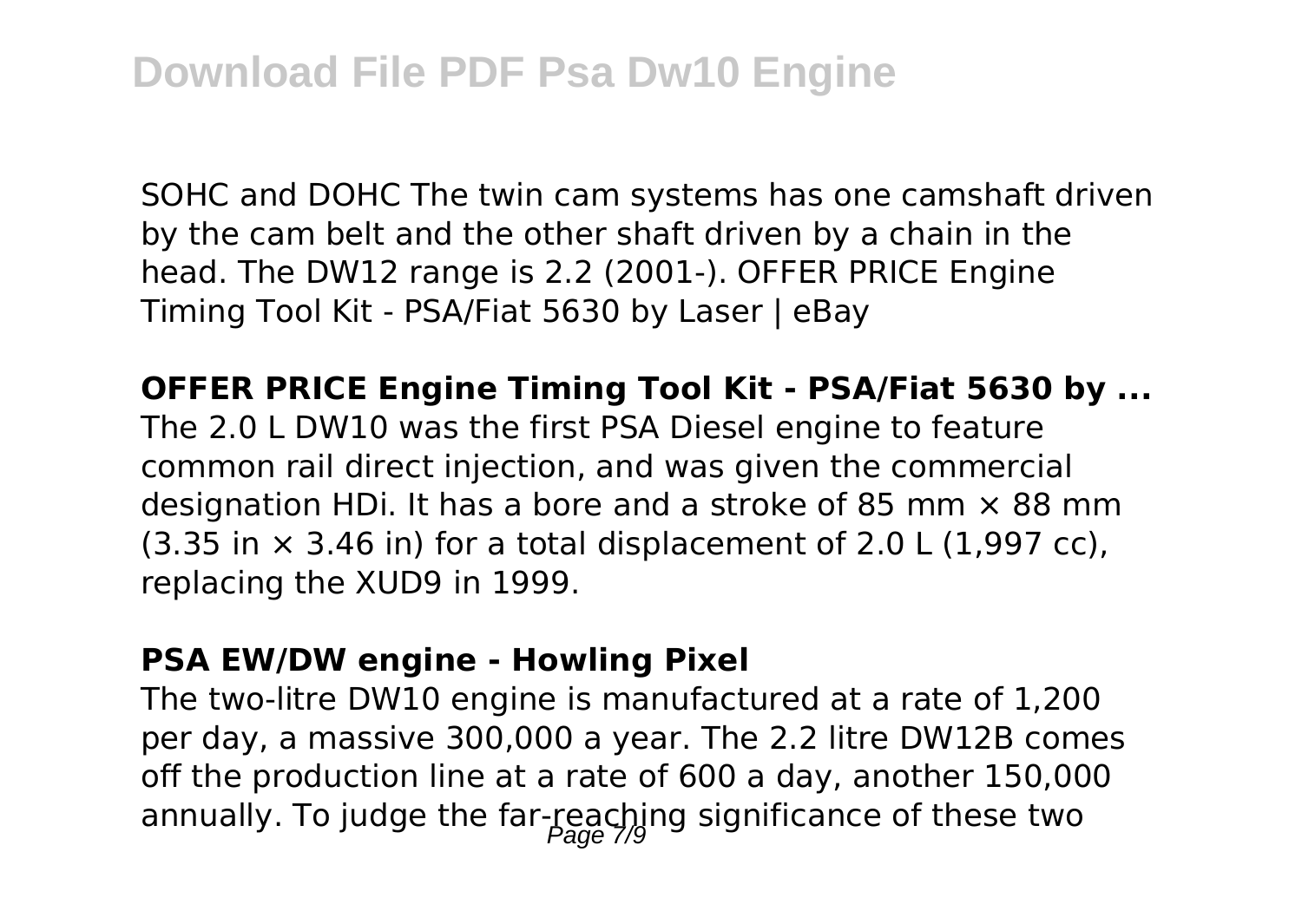SOHC and DOHC The twin cam systems has one camshaft driven by the cam belt and the other shaft driven by a chain in the head. The DW12 range is 2.2 (2001-). OFFER PRICE Engine Timing Tool Kit - PSA/Fiat 5630 by Laser | eBay

**OFFER PRICE Engine Timing Tool Kit - PSA/Fiat 5630 by ...**

The 2.0 L DW10 was the first PSA Diesel engine to feature common rail direct injection, and was given the commercial designation HDi. It has a bore and a stroke of 85 mm  $\times$  88 mm  $(3.35$  in  $\times$  3.46 in) for a total displacement of 2.0 L (1,997 cc), replacing the XUD9 in 1999.

#### **PSA EW/DW engine - Howling Pixel**

The two-litre DW10 engine is manufactured at a rate of 1,200 per day, a massive 300,000 a year. The 2.2 litre DW12B comes off the production line at a rate of 600 a day, another 150,000 annually. To judge the far-reaching significance of these two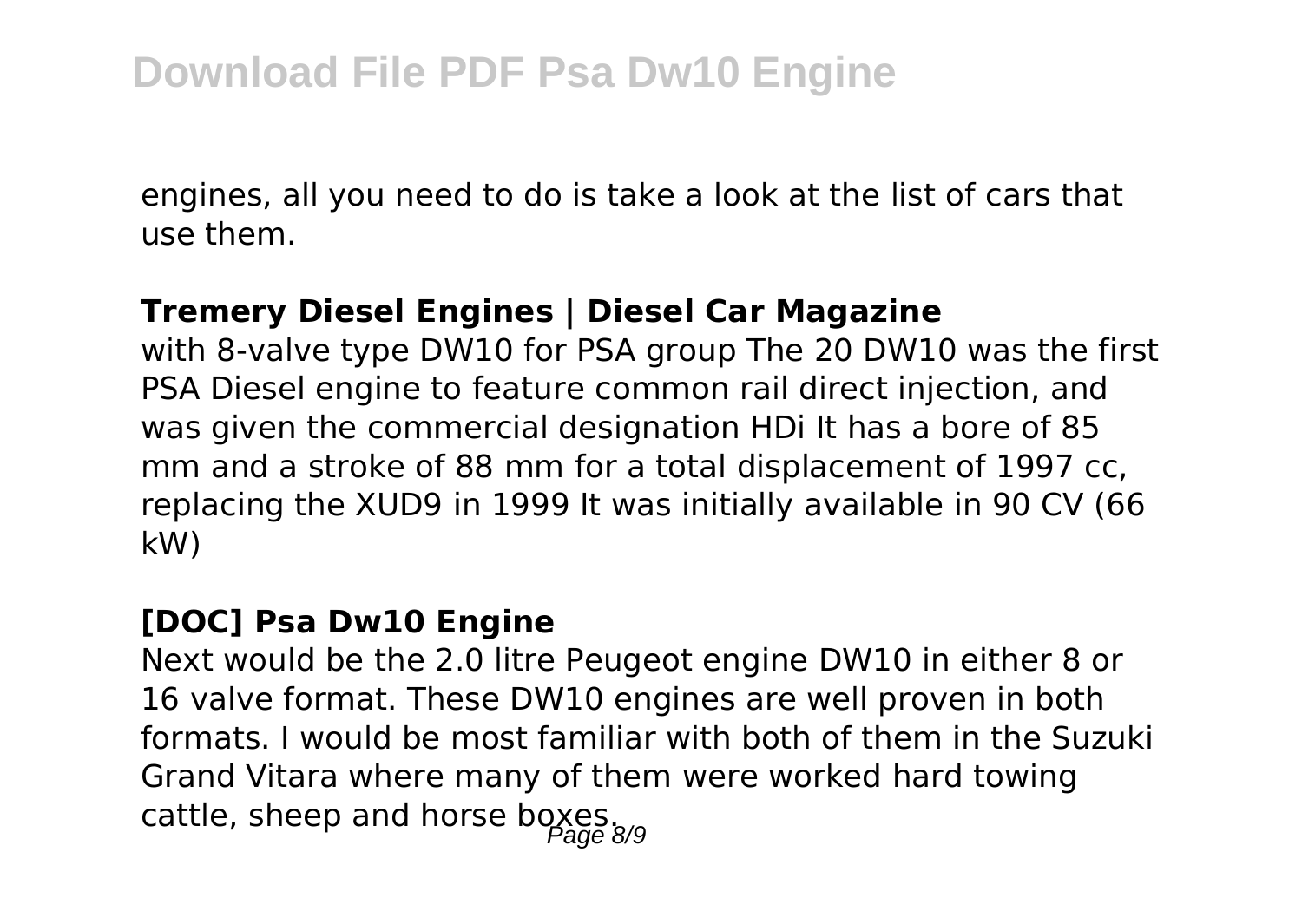engines, all you need to do is take a look at the list of cars that use them.

#### **Tremery Diesel Engines | Diesel Car Magazine**

with 8-valve type DW10 for PSA group The 20 DW10 was the first PSA Diesel engine to feature common rail direct injection, and was given the commercial designation HDi It has a bore of 85 mm and a stroke of 88 mm for a total displacement of 1997 cc, replacing the XUD9 in 1999 It was initially available in 90 CV (66 kW)

#### **[DOC] Psa Dw10 Engine**

Next would be the 2.0 litre Peugeot engine DW10 in either 8 or 16 valve format. These DW10 engines are well proven in both formats. I would be most familiar with both of them in the Suzuki Grand Vitara where many of them were worked hard towing cattle, sheep and horse boxes.